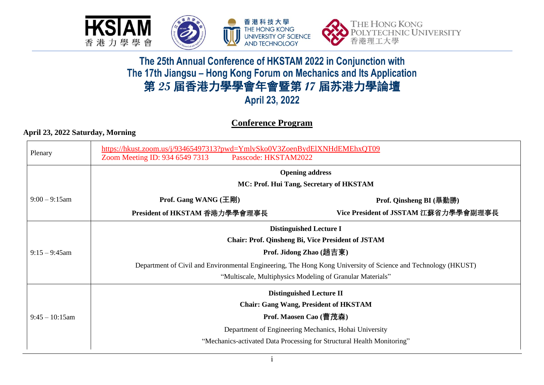

 $V_{\text{ONC}}$ THE 110N RONG CONGRESSION CONGRESSION CONGRESS AND INCOME. 港理工大學

# The 25th Annual Conference of HKSTAM 2022 in Conjunction with The 17th Jiangsu - Hong Kong Forum on Mechanics and Its Application 第 **25** 届香港力學學會年會暨第 **17** 届苏港力學論壇 **April 23, 2022**

## **Conference Program**

#### **April 23, 2022 Saturday, Morning**

| Plenary           | https://hkust.zoom.us/j/93465497313?pwd=YmlvSko0V3ZoenBydElXNHdEMEhxQT09<br>Zoom Meeting ID: 934 6549 7313<br>Passcode: HKSTAM2022 |                                                                        |  |  |
|-------------------|------------------------------------------------------------------------------------------------------------------------------------|------------------------------------------------------------------------|--|--|
|                   | <b>Opening address</b>                                                                                                             |                                                                        |  |  |
|                   |                                                                                                                                    | MC: Prof. Hui Tang, Secretary of HKSTAM                                |  |  |
| $9:00 - 9:15$ am  | Prof. Gang WANG (王剛)                                                                                                               | Prof. Qinsheng BI (畢勤勝)                                                |  |  |
|                   | President of HKSTAM 香港力學學會理事長                                                                                                      | Vice President of JSSTAM 江蘇省力學學會副理事長                                   |  |  |
|                   | <b>Distinguished Lecture I</b>                                                                                                     |                                                                        |  |  |
|                   | <b>Chair: Prof. Qinsheng Bi, Vice President of JSTAM</b>                                                                           |                                                                        |  |  |
| $9:15 - 9:45$ am  | Prof. Jidong Zhao (趙吉東)                                                                                                            |                                                                        |  |  |
|                   | Department of Civil and Environmental Engineering, The Hong Kong University of Science and Technology (HKUST)                      |                                                                        |  |  |
|                   | "Multiscale, Multiphysics Modeling of Granular Materials"                                                                          |                                                                        |  |  |
|                   | <b>Distinguished Lecture II</b>                                                                                                    |                                                                        |  |  |
|                   | <b>Chair: Gang Wang, President of HKSTAM</b>                                                                                       |                                                                        |  |  |
| $9:45 - 10:15$ am | Prof. Maosen Cao (曹茂森)                                                                                                             |                                                                        |  |  |
|                   | Department of Engineering Mechanics, Hohai University                                                                              |                                                                        |  |  |
|                   |                                                                                                                                    | "Mechanics-activated Data Processing for Structural Health Monitoring" |  |  |
|                   |                                                                                                                                    |                                                                        |  |  |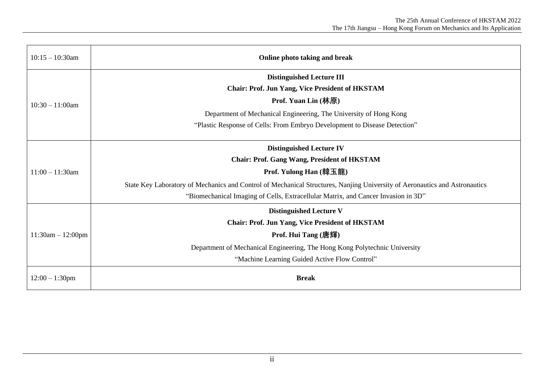| $10:15 - 10:30$ am  | Online photo taking and break                                                                                              |  |
|---------------------|----------------------------------------------------------------------------------------------------------------------------|--|
|                     | <b>Distinguished Lecture III</b>                                                                                           |  |
|                     | <b>Chair: Prof. Jun Yang, Vice President of HKSTAM</b>                                                                     |  |
| $10:30 - 11:00$ am  | Prof. Yuan Lin (林原)                                                                                                        |  |
|                     | Department of Mechanical Engineering, The University of Hong Kong                                                          |  |
|                     | "Plastic Response of Cells: From Embryo Development to Disease Detection"                                                  |  |
|                     | <b>Distinguished Lecture IV</b>                                                                                            |  |
|                     | <b>Chair: Prof. Gang Wang, President of HKSTAM</b>                                                                         |  |
| $11:00 - 11:30$ am  | Prof. Yulong Han (韓玉龍)                                                                                                     |  |
|                     | State Key Laboratory of Mechanics and Control of Mechanical Structures, Nanjing University of Aeronautics and Astronautics |  |
|                     | "Biomechanical Imaging of Cells, Extracellular Matrix, and Cancer Invasion in 3D"                                          |  |
|                     | <b>Distinguished Lecture V</b>                                                                                             |  |
|                     | <b>Chair: Prof. Jun Yang, Vice President of HKSTAM</b>                                                                     |  |
| $11:30am - 12:00pm$ | Prof. Hui Tang (唐輝)                                                                                                        |  |
|                     | Department of Mechanical Engineering, The Hong Kong Polytechnic University                                                 |  |
|                     | "Machine Learning Guided Active Flow Control"                                                                              |  |
| $12:00 - 1:30$ pm   | <b>Break</b>                                                                                                               |  |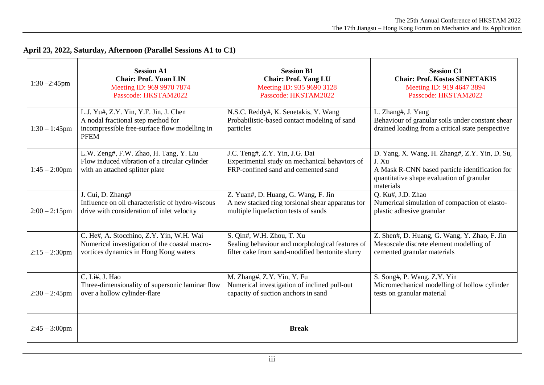## **April 23, 2022, Saturday, Afternoon (Parallel Sessions A1 to C1)**

| $1:30 - 2:45$ pm | <b>Session A1</b>                                                                                                                           | <b>Session B1</b>                                                                                                      | <b>Session C1</b>                                                                                                                                                  |
|------------------|---------------------------------------------------------------------------------------------------------------------------------------------|------------------------------------------------------------------------------------------------------------------------|--------------------------------------------------------------------------------------------------------------------------------------------------------------------|
|                  | <b>Chair: Prof. Yuan LIN</b>                                                                                                                | <b>Chair: Prof. Yang LU</b>                                                                                            | <b>Chair: Prof. Kostas SENETAKIS</b>                                                                                                                               |
|                  | Meeting ID: 969 9970 7874                                                                                                                   | Meeting ID: 935 9690 3128                                                                                              | Meeting ID: 919 4647 3894                                                                                                                                          |
|                  | Passcode: HKSTAM2022                                                                                                                        | Passcode: HKSTAM2022                                                                                                   | Passcode: HKSTAM2022                                                                                                                                               |
| $1:30 - 1:45$ pm | L.J. Yu#, Z.Y. Yin, Y.F. Jin, J. Chen<br>A nodal fractional step method for<br>incompressible free-surface flow modelling in<br><b>PFEM</b> | N.S.C. Reddy#, K. Senetakis, Y. Wang<br>Probabilistic-based contact modeling of sand<br>particles                      | L. Zhang#, J. Yang<br>Behaviour of granular soils under constant shear<br>drained loading from a critical state perspective                                        |
| $1:45 - 2:00$ pm | L.W. Zeng#, F.W. Zhao, H. Tang, Y. Liu<br>Flow induced vibration of a circular cylinder<br>with an attached splitter plate                  | J.C. Teng#, Z.Y. Yin, J.G. Dai<br>Experimental study on mechanical behaviors of<br>FRP-confined sand and cemented sand | D. Yang, X. Wang, H. Zhang#, Z.Y. Yin, D. Su,<br>J. Xu<br>A Mask R-CNN based particle identification for<br>quantitative shape evaluation of granular<br>materials |
| $2:00 - 2:15$ pm | J. Cui, D. Zhang#                                                                                                                           | Z. Yuan#, D. Huang, G. Wang, F. Jin                                                                                    | Q. Ku#, J.D. Zhao                                                                                                                                                  |
|                  | Influence on oil characteristic of hydro-viscous                                                                                            | A new stacked ring torsional shear apparatus for                                                                       | Numerical simulation of compaction of elasto-                                                                                                                      |
|                  | drive with consideration of inlet velocity                                                                                                  | multiple liquefaction tests of sands                                                                                   | plastic adhesive granular                                                                                                                                          |
| $2:15 - 2:30$ pm | C. He#, A. Stocchino, Z.Y. Yin, W.H. Wai                                                                                                    | S. Qin#, W.H. Zhou, T. Xu                                                                                              | Z. Shen#, D. Huang, G. Wang, Y. Zhao, F. Jin                                                                                                                       |
|                  | Numerical investigation of the coastal macro-                                                                                               | Sealing behaviour and morphological features of                                                                        | Mesoscale discrete element modelling of                                                                                                                            |
|                  | vortices dynamics in Hong Kong waters                                                                                                       | filter cake from sand-modified bentonite slurry                                                                        | cemented granular materials                                                                                                                                        |
| $2:30 - 2:45$ pm | C. Li#, J. Hao                                                                                                                              | M. Zhang#, Z.Y. Yin, Y. Fu                                                                                             | S. Song#, P. Wang, Z.Y. Yin                                                                                                                                        |
|                  | Three-dimensionality of supersonic laminar flow                                                                                             | Numerical investigation of inclined pull-out                                                                           | Micromechanical modelling of hollow cylinder                                                                                                                       |
|                  | over a hollow cylinder-flare                                                                                                                | capacity of suction anchors in sand                                                                                    | tests on granular material                                                                                                                                         |
| $2:45 - 3:00$ pm |                                                                                                                                             | <b>Break</b>                                                                                                           |                                                                                                                                                                    |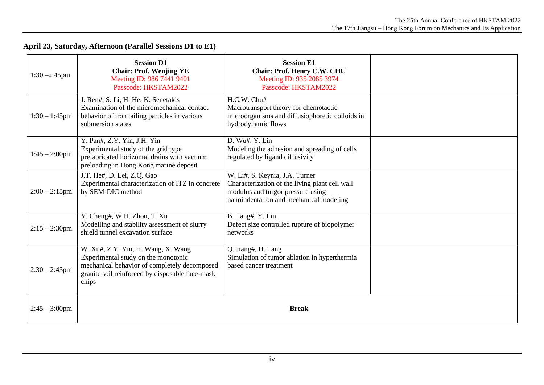#### **April 23, Saturday, Afternoon (Parallel Sessions D1 to E1)**

| $1:30 - 2:45$ pm | <b>Session D1</b><br><b>Chair: Prof. Wenjing YE</b><br>Meeting ID: 986 7441 9401<br>Passcode: HKSTAM2022                                                                              | <b>Session E1</b><br><b>Chair: Prof. Henry C.W. CHU</b><br>Meeting ID: 935 2085 3974<br>Passcode: HKSTAM2022                                                     |  |
|------------------|---------------------------------------------------------------------------------------------------------------------------------------------------------------------------------------|------------------------------------------------------------------------------------------------------------------------------------------------------------------|--|
| $1:30 - 1:45$ pm | J. Ren#, S. Li, H. He, K. Senetakis<br>Examination of the micromechanical contact<br>behavior of iron tailing particles in various<br>submersion states                               | H.C.W. Chu#<br>Macrotransport theory for chemotactic<br>microorganisms and diffusiophoretic colloids in<br>hydrodynamic flows                                    |  |
| $1:45 - 2:00$ pm | Y. Pan#, Z.Y. Yin, J.H. Yin<br>Experimental study of the grid type<br>prefabricated horizontal drains with vacuum<br>preloading in Hong Kong marine deposit                           | D. Wu#, Y. Lin<br>Modeling the adhesion and spreading of cells<br>regulated by ligand diffusivity                                                                |  |
| $2:00 - 2:15$ pm | J.T. He#, D. Lei, Z.Q. Gao<br>Experimental characterization of ITZ in concrete<br>by SEM-DIC method                                                                                   | W. Li#, S. Keynia, J.A. Turner<br>Characterization of the living plant cell wall<br>modulus and turgor pressure using<br>nanoindentation and mechanical modeling |  |
| $2:15 - 2:30$ pm | Y. Cheng#, W.H. Zhou, T. Xu<br>Modelling and stability assessment of slurry<br>shield tunnel excavation surface                                                                       | B. Tang#, Y. Lin<br>Defect size controlled rupture of biopolymer<br>networks                                                                                     |  |
| $2:30 - 2:45$ pm | W. Xu#, Z.Y. Yin, H. Wang, X. Wang<br>Experimental study on the monotonic<br>mechanical behavior of completely decomposed<br>granite soil reinforced by disposable face-mask<br>chips | Q. Jiang#, H. Tang<br>Simulation of tumor ablation in hyperthermia<br>based cancer treatment                                                                     |  |
| $2:45 - 3:00$ pm |                                                                                                                                                                                       | <b>Break</b>                                                                                                                                                     |  |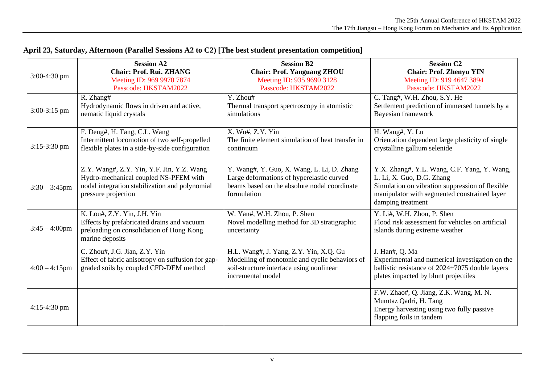| $3:00-4:30$ pm   | <b>Session A2</b><br>Chair: Prof. Rui. ZHANG<br>Meeting ID: 969 9970 7874<br>Passcode: HKSTAM2022                                                           | <b>Session B2</b><br><b>Chair: Prof. Yanguang ZHOU</b><br>Meeting ID: 935 9690 3128<br>Passcode: HKSTAM2022                                               | <b>Session C2</b><br><b>Chair: Prof. Zhenyu YIN</b><br>Meeting ID: 919 4647 3894<br>Passcode: HKSTAM2022                                                                                         |
|------------------|-------------------------------------------------------------------------------------------------------------------------------------------------------------|-----------------------------------------------------------------------------------------------------------------------------------------------------------|--------------------------------------------------------------------------------------------------------------------------------------------------------------------------------------------------|
| 3:00-3:15 pm     | R. Zhang#<br>Hydrodynamic flows in driven and active,<br>nematic liquid crystals                                                                            | Y. Zhou#<br>Thermal transport spectroscopy in atomistic<br>simulations                                                                                    | C. Tang#, W.H. Zhou, S.Y. He<br>Settlement prediction of immersed tunnels by a<br>Bayesian framework                                                                                             |
| $3:15-3:30$ pm   | F. Deng#, H. Tang, C.L. Wang<br>Intermittent locomotion of two self-propelled<br>flexible plates in a side-by-side configuration                            | X. Wu#, Z.Y. Yin<br>The finite element simulation of heat transfer in<br>continuum                                                                        | H. Wang#, Y. Lu<br>Orientation dependent large plasticity of single<br>crystalline gallium selenide                                                                                              |
| $3:30 - 3:45$ pm | Z.Y. Wang#, Z.Y. Yin, Y.F. Jin, Y.Z. Wang<br>Hydro-mechanical coupled NS-PFEM with<br>nodal integration stabilization and polynomial<br>pressure projection | Y. Wang#, Y. Guo, X. Wang, L. Li, D. Zhang<br>Large deformations of hyperelastic curved<br>beams based on the absolute nodal coordinate<br>formulation    | Y.X. Zhang#, Y.L. Wang, C.F. Yang, Y. Wang,<br>L. Li, X. Guo, D.G. Zhang<br>Simulation on vibration suppression of flexible<br>manipulator with segmented constrained layer<br>damping treatment |
| $3:45 - 4:00$ pm | K. Lou#, Z.Y. Yin, J.H. Yin<br>Effects by prefabricated drains and vacuum<br>preloading on consolidation of Hong Kong<br>marine deposits                    | W. Yan#, W.H. Zhou, P. Shen<br>Novel modelling method for 3D stratigraphic<br>uncertainty                                                                 | Y. Li#, W.H. Zhou, P. Shen<br>Flood risk assessment for vehicles on artificial<br>islands during extreme weather                                                                                 |
| $4:00 - 4:15$ pm | C. Zhou#, J.G. Jian, Z.Y. Yin<br>Effect of fabric anisotropy on suffusion for gap-<br>graded soils by coupled CFD-DEM method                                | H.L. Wang#, J. Yang, Z.Y. Yin, X.Q. Gu<br>Modelling of monotonic and cyclic behaviors of<br>soil-structure interface using nonlinear<br>incremental model | J. Han#, Q. Ma<br>Experimental and numerical investigation on the<br>ballistic resistance of 2024+7075 double layers<br>plates impacted by blunt projectiles                                     |
| $4:15-4:30$ pm   |                                                                                                                                                             |                                                                                                                                                           | F.W. Zhao#, Q. Jiang, Z.K. Wang, M. N.<br>Mumtaz Qadri, H. Tang<br>Energy harvesting using two fully passive<br>flapping foils in tandem                                                         |

## **April 23, Saturday, Afternoon (Parallel Sessions A2 to C2) [The best student presentation competition]**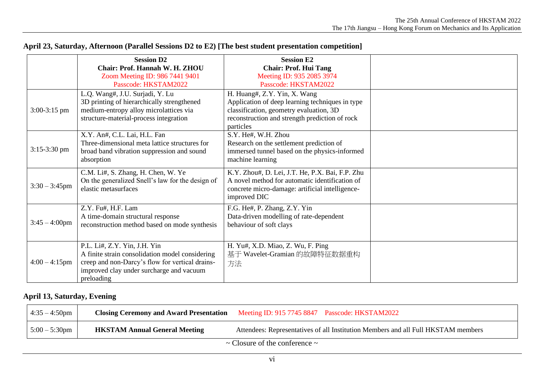|                  | <b>Session D2</b><br>Chair: Prof. Hannah W. H. ZHOU<br>Zoom Meeting ID: 986 7441 9401<br>Passcode: HKSTAM2022                                                                                | <b>Session E2</b><br><b>Chair: Prof. Hui Tang</b><br>Meeting ID: 935 2085 3974<br>Passcode: HKSTAM2022                                                                                    |  |
|------------------|----------------------------------------------------------------------------------------------------------------------------------------------------------------------------------------------|-------------------------------------------------------------------------------------------------------------------------------------------------------------------------------------------|--|
| $3:00-3:15$ pm   | L.Q. Wang#, J.U. Surjadi, Y. Lu<br>3D printing of hierarchically strengthened<br>medium-entropy alloy microlattices via<br>structure-material-process integration                            | H. Huang#, Z.Y. Yin, X. Wang<br>Application of deep learning techniques in type<br>classification, geometry evaluation, 3D<br>reconstruction and strength prediction of rock<br>particles |  |
| $3:15-3:30$ pm   | X.Y. An#, C.L. Lai, H.L. Fan<br>Three-dimensional meta lattice structures for<br>broad band vibration suppression and sound<br>absorption                                                    | S.Y. He#, W.H. Zhou<br>Research on the settlement prediction of<br>immersed tunnel based on the physics-informed<br>machine learning                                                      |  |
| $3:30 - 3:45$ pm | C.M. Li#, S. Zhang, H. Chen, W. Ye<br>On the generalized Snell's law for the design of<br>elastic metasurfaces                                                                               | K.Y. Zhou#, D. Lei, J.T. He, P.X. Bai, F.P. Zhu<br>A novel method for automatic identification of<br>concrete micro-damage: artificial intelligence-<br>improved DIC                      |  |
| $3:45 - 4:00$ pm | Z.Y. Fu#, H.F. Lam<br>A time-domain structural response<br>reconstruction method based on mode synthesis                                                                                     | F.G. He#, P. Zhang, Z.Y. Yin<br>Data-driven modelling of rate-dependent<br>behaviour of soft clays                                                                                        |  |
| $4:00 - 4:15$ pm | P.L. Li#, Z.Y. Yin, J.H. Yin<br>A finite strain consolidation model considering<br>creep and non-Darcy's flow for vertical drains-<br>improved clay under surcharge and vacuum<br>preloading | H. Yu#, X.D. Miao, Z. Wu, F. Ping<br>基于 Wavelet-Gramian 的故障特征数据重构<br>方法                                                                                                                   |  |

#### **April 23, Saturday, Afternoon (Parallel Sessions D2 to E2) [The best student presentation competition]**

#### **April 13, Saturday, Evening**

| $ 4:35 - 4:50$ pm                       |                                      | <b>Closing Ceremony and Award Presentation</b> Meeting ID: 915 7745 8847 Passcode: HKSTAM2022 |  |
|-----------------------------------------|--------------------------------------|-----------------------------------------------------------------------------------------------|--|
| $5:00 - 5:30$ pm                        | <b>HKSTAM Annual General Meeting</b> | Attendees: Representatives of all Institution Members and all Full HKSTAM members             |  |
| $\sim$ Closure of the conference $\sim$ |                                      |                                                                                               |  |